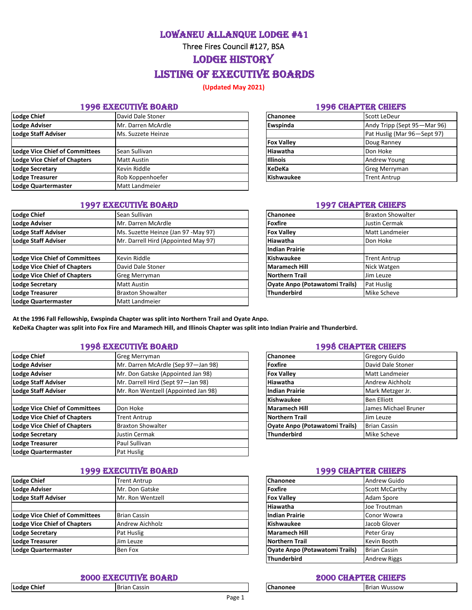Lowaneu Allanque Lodge #41

Three Fires Council #127, BSA

LODGE HISTORY

# Listing of Executive Boards

**(Updated May 2021)** 

### 1996 EXECUTIVE BOARD 1996 CHAPTER CHIEFS

| Lodge Chief                    | David Dale Stoner     | <b>Chanonee</b>   | Scott LeDeur                |
|--------------------------------|-----------------------|-------------------|-----------------------------|
| <b>Lodge Adviser</b>           | Mr. Darren McArdle    | Ewspinda          | Andy Tripp (Sept 95-Mar 96) |
| <b>Lodge Staff Adviser</b>     | Ms. Suzzete Heinze    |                   | Pat Huslig (Mar 96-Sept 97) |
|                                |                       | <b>Fox Valley</b> | Doug Ranney                 |
| Lodge Vice Chief of Committees | Sean Sullivan         | <b>Hiawatha</b>   | Don Hoke                    |
| Lodge Vice Chief of Chapters   | <b>Matt Austin</b>    | <b>Illinois</b>   | <b>Andrew Young</b>         |
| <b>Lodge Secretary</b>         | Kevin Riddle          | <b>KeDeKa</b>     | <b>Greg Merryman</b>        |
| <b>Lodge Treasurer</b>         | Rob Koppenhoefer      | <b>Kishwaukee</b> | <b>Trent Antrup</b>         |
| Lodge Quartermaster            | <b>Matt Landmeier</b> |                   |                             |

### 1997 EXECUTIVE BOARD 1997 CHAPTER CHIEFS

| <b>Lodge Chief</b>                    | Sean Sullivan                       | Chanonee                              | <b>Braxton Showalter</b> |
|---------------------------------------|-------------------------------------|---------------------------------------|--------------------------|
| <b>Lodge Adviser</b>                  | Mr. Darren McArdle                  | Foxfire                               | Justin Cermak            |
| <b>Lodge Staff Adviser</b>            | Ms. Suzette Heinze (Jan 97 -May 97) | <b>Fox Valley</b>                     | Matt Landmeier           |
| <b>Lodge Staff Adviser</b>            | Mr. Darrell Hird (Appointed May 97) | <b>Hiawatha</b>                       | Don Hoke                 |
|                                       |                                     | <b>Indian Prairie</b>                 |                          |
| <b>Lodge Vice Chief of Committees</b> | Kevin Riddle                        | Kishwaukee                            | <b>Trent Antrup</b>      |
| <b>Lodge Vice Chief of Chapters</b>   | David Dale Stoner                   | <b>Maramech Hill</b>                  | Nick Watgen              |
| <b>Lodge Vice Chief of Chapters</b>   | Greg Merryman                       | <b>Northern Trail</b>                 | Jim Leuze                |
| <b>Lodge Secretary</b>                | <b>Matt Austin</b>                  | <b>Oyate Anpo (Potawatomi Trails)</b> | Pat Huslig               |
| <b>Lodge Treasurer</b>                | <b>Braxton Showalter</b>            | <b>Thunderbird</b>                    | Mike Scheve              |
| Lodge Quartermaster                   | Matt Landmeier                      |                                       |                          |

| Chanonee          | Scott LeDeur                |  |
|-------------------|-----------------------------|--|
| Ewspinda          | Andy Tripp (Sept 95-Mar 96) |  |
|                   | Pat Huslig (Mar 96-Sept 97) |  |
| <b>Fox Valley</b> | Doug Ranney                 |  |
| Hiawatha          | Don Hoke                    |  |
| <b>Illinois</b>   | Andrew Young                |  |
| <b>KeDeKa</b>     | <b>Greg Merryman</b>        |  |
| <b>Kishwaukee</b> | <b>Trent Antrup</b>         |  |

| Chanonee                              | <b>Braxton Showalter</b> |  |  |
|---------------------------------------|--------------------------|--|--|
| <b>Foxfire</b>                        | Justin Cermak            |  |  |
| <b>Fox Valley</b>                     | <b>Matt Landmeier</b>    |  |  |
| Hiawatha                              | Don Hoke                 |  |  |
| <b>Indian Prairie</b>                 |                          |  |  |
| Kishwaukee                            | <b>Trent Antrup</b>      |  |  |
| <b>Maramech Hill</b>                  | Nick Watgen              |  |  |
| <b>Northern Trail</b>                 | Jim Leuze                |  |  |
| <b>Oyate Anpo (Potawatomi Trails)</b> | Pat Huslig               |  |  |
| <b>Thunderbird</b>                    | Mike Scheve              |  |  |

**At the 1996 Fall Fellowship, Ewspinda Chapter was split into Northern Trail and Oyate Anpo. KeDeKa Chapter was split into Fox Fire and Maramech Hill, and Illinois Chapter was split into Indian Prairie and Thunderbird.** 

# 1998 EXECUTIVE BOARD 1998 CHAPTER CHIEFS

| <b>Lodge Chief</b>                    | <b>Greg Merryman</b>                | Chanonee                              | <b>Gregory Guido</b>   |
|---------------------------------------|-------------------------------------|---------------------------------------|------------------------|
| <b>Lodge Adviser</b>                  | Mr. Darren McArdle (Sep 97-Jan 98)  | Foxfire                               | David Dale Stoner      |
| <b>Lodge Adviser</b>                  | Mr. Don Gatske (Appointed Jan 98)   | <b>Fox Valley</b>                     | Matt Landmeier         |
| <b>Lodge Staff Adviser</b>            | Mr. Darrell Hird (Sept 97-Jan 98)   | Hiawatha                              | <b>Andrew Aichholz</b> |
| <b>Lodge Staff Adviser</b>            | Mr. Ron Wentzell (Appointed Jan 98) | <b>Indian Prairie</b>                 | Mark Metzger Jr.       |
|                                       |                                     | Kishwaukee                            | <b>Ben Elliott</b>     |
| <b>Lodge Vice Chief of Committees</b> | Don Hoke                            | <b>Maramech Hill</b>                  | James Michael Bruner   |
| <b>Lodge Vice Chief of Chapters</b>   | <b>Trent Antrup</b>                 | Northern Trail                        | Jim Leuze              |
| <b>Lodge Vice Chief of Chapters</b>   | <b>Braxton Showalter</b>            | <b>Oyate Anpo (Potawatomi Trails)</b> | <b>Brian Cassin</b>    |
| <b>Lodge Secretary</b>                | Justin Cermak                       | Thunderbird                           | Mike Scheve            |
| <b>Lodge Treasurer</b>                | Paul Sullivan                       |                                       |                        |
| Lodge Quartermaster                   | Pat Huslig                          |                                       |                        |
|                                       |                                     |                                       |                        |

# 1999 EXECUTIVE BOARD 1999 CHAPTER CHIEFS

| Lodge Chief                    | <b>Trent Antrup</b> | Chanonee                              | Andrew Guido          |
|--------------------------------|---------------------|---------------------------------------|-----------------------|
| Lodge Adviser                  | Mr. Don Gatske      | <b>Foxfire</b>                        | <b>Scott McCarthy</b> |
| Lodge Staff Adviser            | Mr. Ron Wentzell    | <b>Fox Vallev</b>                     | Adam Spore            |
|                                |                     | Hiawatha                              | Joe Troutman          |
| Lodge Vice Chief of Committees | <b>Brian Cassin</b> | <b>Indian Prairie</b>                 | Conor Wowra           |
| Lodge Vice Chief of Chapters   | Andrew Aichholz     | Kishwaukee                            | Jacob Glover          |
| <b>Lodge Secretary</b>         | Pat Huslig          | <b>Maramech Hill</b>                  | Peter Gray            |
| Lodge Treasurer                | Jim Leuze           | <b>Northern Trail</b>                 | Kevin Booth           |
| Lodge Quartermaster            | Ben Fox             | <b>Oyate Anpo (Potawatomi Trails)</b> | <b>Brian Cassin</b>   |

## 2000 EXECUTIVE BOARD 2000 CHAPTER CHIEFS

| <b>Lodge Chief</b> |  |
|--------------------|--|
|--------------------|--|

| Chanonee                              | <b>Gregory Guido</b>   |  |  |
|---------------------------------------|------------------------|--|--|
| <b>Foxfire</b>                        | David Dale Stoner      |  |  |
| <b>Fox Valley</b>                     | Matt Landmeier         |  |  |
| Hiawatha                              | <b>Andrew Aichholz</b> |  |  |
| <b>Indian Prairie</b>                 | Mark Metzger Jr.       |  |  |
| <b>Kishwaukee</b>                     | <b>Ben Elliott</b>     |  |  |
| <b>Maramech Hill</b>                  | James Michael Bruner   |  |  |
| <b>Northern Trail</b>                 | Jim Leuze              |  |  |
| <b>Oyate Anpo (Potawatomi Trails)</b> | <b>Brian Cassin</b>    |  |  |
| <b>Thunderbird</b>                    | Mike Scheve            |  |  |

| Chanonee                              | Andrew Guido        |
|---------------------------------------|---------------------|
| <b>Foxfire</b>                        | Scott McCarthy      |
| <b>Fox Valley</b>                     | Adam Spore          |
| Hiawatha                              | Joe Troutman        |
| <b>Indian Prairie</b>                 | Conor Wowra         |
| <b>Kishwaukee</b>                     | Jacob Glover        |
| <b>Maramech Hill</b>                  | Peter Gray          |
| <b>Northern Trail</b>                 | Kevin Booth         |
| <b>Oyate Anpo (Potawatomi Trails)</b> | <b>Brian Cassin</b> |
| <b>Thunderbird</b>                    | <b>Andrew Riggs</b> |

| <b>Chanone</b> |  |
|----------------|--|
|                |  |

**Lodge Chief** Brian Cassin **Chanonee** Brian Wussow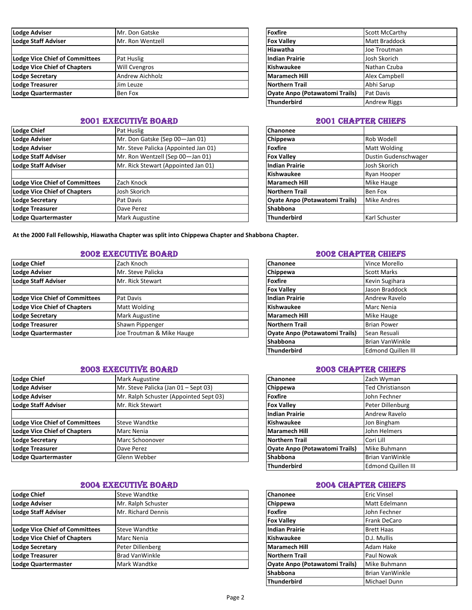| Lodge Adviser                         | Mr. Don Gatske       | Foxfire                               | <b>Scott McCarthy</b> |
|---------------------------------------|----------------------|---------------------------------------|-----------------------|
| <b>Lodge Staff Adviser</b>            | Mr. Ron Wentzell     | <b>Fox Valley</b>                     | <b>Matt Braddock</b>  |
|                                       |                      | <b>Hiawatha</b>                       | Joe Troutman          |
| <b>Lodge Vice Chief of Committees</b> | Pat Huslig           | Indian Prairie                        | Josh Skorich          |
| <b>Lodge Vice Chief of Chapters</b>   | <b>Will Cvengros</b> | Kishwaukee                            | Nathan Czuba          |
| <b>Lodge Secretary</b>                | Andrew Aichholz      | Maramech Hill                         | Alex Campbell         |
| Lodge Treasurer                       | Jim Leuze            | <b>Northern Trail</b>                 | Abhi Sarup            |
| Lodge Quartermaster                   | Ben Fox              | <b>Oyate Anpo (Potawatomi Trails)</b> | Pat Davis             |

### **2001 EXECUTIVE BOARD 2001 CHAPTER CHIEFS**

| <b>Lodge Chief</b>                    | <b>Pat Huslig</b>                    | <b>Chanonee</b>                       |                      |
|---------------------------------------|--------------------------------------|---------------------------------------|----------------------|
| <b>Lodge Adviser</b>                  | Mr. Don Gatske (Sep 00-Jan 01)       | Chippewa                              | Rob Wodell           |
| <b>Lodge Adviser</b>                  | Mr. Steve Palicka (Appointed Jan 01) | <b>Foxfire</b>                        | Matt Wolding         |
| <b>Lodge Staff Adviser</b>            | Mr. Ron Wentzell (Sep 00-Jan 01)     | <b>Fox Valley</b>                     | Dustin Gudenschwager |
| <b>Lodge Staff Adviser</b>            | Mr. Rick Stewart (Appointed Jan 01)  | <b>Indian Prairie</b>                 | Josh Skorich         |
|                                       |                                      | Kishwaukee                            | <b>Ryan Hooper</b>   |
| <b>Lodge Vice Chief of Committees</b> | Zach Knock                           | Maramech Hill                         | Mike Hauge           |
| Lodge Vice Chief of Chapters          | Josh Skorich                         | Northern Trail                        | Ben Fox              |
| <b>Lodge Secretary</b>                | Pat Davis                            | <b>Oyate Anpo (Potawatomi Trails)</b> | <b>Mike Andres</b>   |
| Lodge Treasurer                       | Dave Perez                           | <b>Shabbona</b>                       |                      |
| Lodge Quartermaster                   | <b>Mark Augustine</b>                | <b>Thunderbird</b>                    | Karl Schuster        |

| <b>Foxfire</b>                        | <b>Scott McCarthy</b> |
|---------------------------------------|-----------------------|
| <b>Fox Valley</b>                     | <b>Matt Braddock</b>  |
| Hiawatha                              | Joe Troutman          |
| <b>Indian Prairie</b>                 | Josh Skorich          |
| <b>Kishwaukee</b>                     | Nathan Czuba          |
| <b>Maramech Hill</b>                  | Alex Campbell         |
| <b>Northern Trail</b>                 | Abhi Sarup            |
| <b>Ovate Anpo (Potawatomi Trails)</b> | Pat Davis             |
| <b>Thunderbird</b>                    | <b>Andrew Riggs</b>   |

| Chanonee                              |                      |
|---------------------------------------|----------------------|
| Chippewa                              | Rob Wodell           |
| <b>Foxfire</b>                        | Matt Wolding         |
| <b>Fox Valley</b>                     | Dustin Gudenschwager |
| <b>Indian Prairie</b>                 | Josh Skorich         |
| Kishwaukee                            | Ryan Hooper          |
| <b>Maramech Hill</b>                  | Mike Hauge           |
| <b>Northern Trail</b>                 | Ben Fox              |
| <b>Oyate Anpo (Potawatomi Trails)</b> | <b>Mike Andres</b>   |
| <b>Shabbona</b>                       |                      |
| Thunderbird                           | Karl Schuster        |

**At the 2000 Fall Fellowship, Hiawatha Chapter was split into Chippewa Chapter and Shabbona Chapter.**

# 2002 EXECUTIVE BOARD 2002 CHAPTER CHIEFS

| Lodge Chief                    | Zach Knoch                | <b>Chanonee</b>                       | Vince Morello      |
|--------------------------------|---------------------------|---------------------------------------|--------------------|
| <b>Lodge Adviser</b>           | Mr. Steve Palicka         | Chippewa                              | <b>Scott Marks</b> |
| Lodge Staff Adviser            | Mr. Rick Stewart          | Foxfire                               | Kevin Sugihara     |
|                                |                           | <b>Fox Valley</b>                     | Jason Braddock     |
| Lodge Vice Chief of Committees | Pat Davis                 | Indian Prairie                        | Andrew Ravelo      |
| Lodge Vice Chief of Chapters   | Matt Wolding              | <b>Kishwaukee</b>                     | Marc Nenia         |
| Lodge Secretary                | <b>Mark Augustine</b>     | <b>Maramech Hill</b>                  | <b>Mike Hauge</b>  |
| Lodge Treasurer                | Shawn Pippenger           | Northern Trail                        | <b>Brian Power</b> |
| Lodge Quartermaster            | Joe Troutman & Mike Hauge | <b>Oyate Anpo (Potawatomi Trails)</b> | Sean Resuali       |
|                                |                           |                                       |                    |

# 2003 EXECUTIVE BOARD 2003 CHAPTER CHIEFS

| Lodge Chief                    | Mark Augustine                         | <b>Chanonee</b>                       | Zach Wyman              |
|--------------------------------|----------------------------------------|---------------------------------------|-------------------------|
| <b>Lodge Adviser</b>           | Mr. Steve Palicka (Jan 01 - Sept 03)   | <b>Chippewa</b>                       | <b>Ted Christianson</b> |
| Lodge Adviser                  | Mr. Ralph Schuster (Appointed Sept 03) | Foxfire                               | John Fechner            |
| Lodge Staff Adviser            | Mr. Rick Stewart                       | <b>Fox Vallev</b>                     | Peter Dillenburg        |
|                                |                                        | <b>Indian Prairie</b>                 | Andrew Ravelo           |
| Lodge Vice Chief of Committees | Steve Wandtke                          | <b>Kishwaukee</b>                     | Jon Bingham             |
| Lodge Vice Chief of Chapters   | Marc Nenia                             | <b>Maramech Hill</b>                  | John Helmers            |
| <b>Lodge Secretary</b>         | Marc Schoonover                        | <b>Northern Trail</b>                 | Cori Lill               |
| Lodge Treasurer                | Dave Perez                             | <b>Oyate Anpo (Potawatomi Trails)</b> | Mike Buhmann            |
| Lodge Quartermaster            | Glenn Webber                           | <b>Shabbona</b>                       | <b>Brian Van Winkle</b> |
|                                |                                        |                                       |                         |

### 2004 EXECUTIVE BOARD 2004 CHAPTER CHIEFS

| Lodge Chief                           | Steve Wandtke         | <b>Chanonee</b>                       | <b>Eric Vinsel</b>  |
|---------------------------------------|-----------------------|---------------------------------------|---------------------|
| Lodge Adviser                         | Mr. Ralph Schuster    | Chippewa                              | Matt Edelmann       |
| Lodge Staff Adviser                   | Mr. Richard Dennis    | <b>Foxfire</b>                        | John Fechner        |
|                                       |                       | <b>Fox Vallev</b>                     | <b>Frank DeCaro</b> |
| <b>Lodge Vice Chief of Committees</b> | <b>Steve Wandtke</b>  | <b>Indian Prairie</b>                 | <b>Brett Haas</b>   |
| Lodge Vice Chief of Chapters          | Marc Nenia            | Kishwaukee                            | D.J. Mullis         |
| Lodge Secretary                       | Peter Dillenberg      | Maramech Hill                         | Adam Hake           |
| Lodge Treasurer                       | <b>Brad VanWinkle</b> | <b>Northern Trail</b>                 | Paul Nowak          |
| Lodge Quartermaster                   | Mark Wandtke          | <b>Oyate Anpo (Potawatomi Trails)</b> | Mike Buhmann        |

| Chanonee                              | Vince Morello             |
|---------------------------------------|---------------------------|
| Chippewa                              | <b>Scott Marks</b>        |
| <b>Foxfire</b>                        | Kevin Sugihara            |
| <b>Fox Valley</b>                     | Jason Braddock            |
| <b>Indian Prairie</b>                 | Andrew Ravelo             |
| <b>Kishwaukee</b>                     | Marc Nenia                |
| <b>Maramech Hill</b>                  | Mike Hauge                |
| <b>Northern Trail</b>                 | <b>Brian Power</b>        |
| <b>Oyate Anpo (Potawatomi Trails)</b> | Sean Resuali              |
| Shabbona                              | <b>Brian VanWinkle</b>    |
| <b>Thunderbird</b>                    | <b>Edmond Quillen III</b> |

| Chanonee                              | Zach Wyman                |
|---------------------------------------|---------------------------|
| Chippewa                              | <b>Ted Christianson</b>   |
| <b>Foxfire</b>                        | John Fechner              |
| <b>Fox Valley</b>                     | Peter Dillenburg          |
| <b>Indian Prairie</b>                 | Andrew Ravelo             |
| <b>Kishwaukee</b>                     | Jon Bingham               |
| <b>Maramech Hill</b>                  | John Helmers              |
| <b>Northern Trail</b>                 | Cori Lill                 |
| <b>Oyate Anpo (Potawatomi Trails)</b> | Mike Buhmann              |
| Shabbona                              | <b>Brian VanWinkle</b>    |
| <b>Thunderbird</b>                    | <b>Edmond Quillen III</b> |

| Chanonee                              | <b>Eric Vinsel</b>     |
|---------------------------------------|------------------------|
| Chippewa                              | Matt Edelmann          |
| <b>Foxfire</b>                        | John Fechner           |
| <b>Fox Valley</b>                     | Frank DeCaro           |
| <b>Indian Prairie</b>                 | <b>Brett Haas</b>      |
| Kishwaukee                            | D.J. Mullis            |
| <b>Maramech Hill</b>                  | Adam Hake              |
| <b>Northern Trail</b>                 | Paul Nowak             |
| <b>Oyate Anpo (Potawatomi Trails)</b> | Mike Buhmann           |
| Shabbona                              | <b>Brian VanWinkle</b> |
| <b>Thunderbird</b>                    | Michael Dunn           |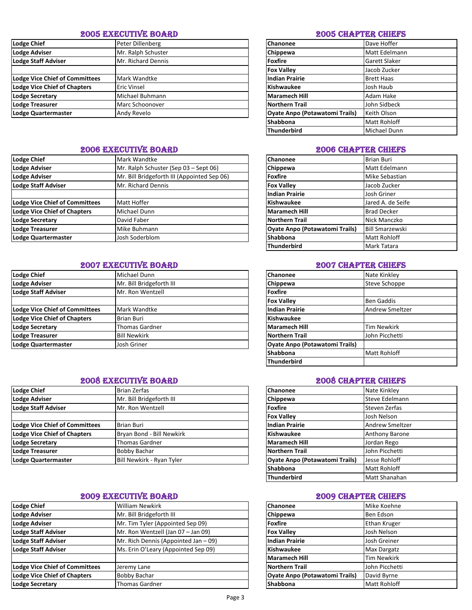### 2005 EXECUTIVE BOARD 2005 CHAPTER CHIEFS

| <b>Lodge Chief</b>                    | Peter Dillenberg   | Chanonee                              | Dave Hoffer          |
|---------------------------------------|--------------------|---------------------------------------|----------------------|
| <b>Lodge Adviser</b>                  | Mr. Ralph Schuster | Chippewa                              | <b>Matt Edelmann</b> |
| <b>Lodge Staff Adviser</b>            | Mr. Richard Dennis | <b>Foxfire</b>                        | <b>Garett Slaker</b> |
|                                       |                    | <b>Fox Vallev</b>                     | Jacob Zucker         |
| <b>Lodge Vice Chief of Committees</b> | Mark Wandtke       | <b>Indian Prairie</b>                 | <b>Brett Haas</b>    |
| <b>Lodge Vice Chief of Chapters</b>   | <b>Eric Vinsel</b> | Kishwaukee                            | Josh Haub            |
| <b>Lodge Secretary</b>                | Michael Buhmann    | <b>Maramech Hill</b>                  | Adam Hake            |
| Lodge Treasurer                       | Marc Schoonover    | <b>Northern Trail</b>                 | John Sidbeck         |
| Lodge Quartermaster                   | Andy Revelo        | <b>Oyate Anpo (Potawatomi Trails)</b> | <b>Keith Olson</b>   |
|                                       |                    |                                       |                      |

# 2006 EXECUTIVE BOARD 2006 CHAPTER CHIEFS

| Lodge Chief                           | Mark Wandtke                                | <b>Chanonee</b>                       | <b>Brian Buri</b>      |
|---------------------------------------|---------------------------------------------|---------------------------------------|------------------------|
| <b>Lodge Adviser</b>                  | Mr. Ralph Schuster (Sep 03 - Sept 06)       | Chippewa                              | Matt Edelmann          |
| <b>Lodge Adviser</b>                  | Mr. Bill Bridgeforth III (Appointed Sep 06) | <b>Foxfire</b>                        | Mike Sebastian         |
| Lodge Staff Adviser                   | Mr. Richard Dennis                          | <b>Fox Vallev</b>                     | Jacob Zucker           |
|                                       |                                             | <b>Indian Prairie</b>                 | Josh Griner            |
| <b>Lodge Vice Chief of Committees</b> | Matt Hoffer                                 | Kishwaukee                            | Jared A. de Seife      |
| Lodge Vice Chief of Chapters          | Michael Dunn                                | <b>Maramech Hill</b>                  | <b>Brad Decker</b>     |
| <b>Lodge Secretary</b>                | David Faber                                 | Northern Trail                        | Nick Manczko           |
| Lodge Treasurer                       | Mike Buhmann                                | <b>Oyate Anpo (Potawatomi Trails)</b> | <b>Bill Smarzewski</b> |
| Lodge Quartermaster                   | Josh Soderblom                              | <b>Shabbona</b>                       | <b>Matt Rohloff</b>    |
|                                       |                                             |                                       |                        |

# **2007 EXECUTIVE BOARD 2007 CHAPTER CHIEFS**

| <b>Lodge Chief</b>                    | Michael Dunn             | <b>Chanonee</b>                       | Nate Kinkley           |
|---------------------------------------|--------------------------|---------------------------------------|------------------------|
| <b>Lodge Adviser</b>                  | Mr. Bill Bridgeforth III | Chippewa                              | Steve Schoppe          |
| Lodge Staff Adviser                   | Mr. Ron Wentzell         | <b>Foxfire</b>                        |                        |
|                                       |                          | <b>Fox Valley</b>                     | <b>Ben Gaddis</b>      |
| <b>Lodge Vice Chief of Committees</b> | Mark Wandtke             | <b>Indian Prairie</b>                 | <b>Andrew Smeltzer</b> |
| Lodge Vice Chief of Chapters          | <b>Brian Buri</b>        | <b>Kishwaukee</b>                     |                        |
| <b>Lodge Secretary</b>                | <b>Thomas Gardner</b>    | Maramech Hill                         | <b>Tim Newkirk</b>     |
| Lodge Treasurer                       | <b>Bill Newkirk</b>      | <b>Northern Trail</b>                 | John Picchetti         |
| Lodge Quartermaster                   | Josh Griner              | <b>Oyate Anpo (Potawatomi Trails)</b> |                        |
|                                       |                          |                                       |                        |

# 2008 EXECUTIVE BOARD 2008 CHAPTER CHIEFS

| Lodge Chief                           | Brian Zerfas              | <b>Chanonee</b>                       | Nate Kinkley          |
|---------------------------------------|---------------------------|---------------------------------------|-----------------------|
| <b>Lodge Adviser</b>                  | Mr. Bill Bridgeforth III  | Chippewa                              | Steve Edelmann        |
| Lodge Staff Adviser                   | Mr. Ron Wentzell          | Foxfire                               | Steven Zerfas         |
|                                       |                           | <b>Fox Valley</b>                     | Josh Nelson           |
| <b>Lodge Vice Chief of Committees</b> | <b>Brian Buri</b>         | Indian Prairie                        | Andrew Smeltzer       |
| Lodge Vice Chief of Chapters          | Bryan Bond - Bill Newkirk | Kishwaukee                            | <b>Anthony Barone</b> |
| <b>Lodge Secretary</b>                | <b>Thomas Gardner</b>     | <b>Maramech Hill</b>                  | Jordan Rego           |
| Lodge Treasurer                       | <b>Bobby Bachar</b>       | <b>Northern Trail</b>                 | John Picchetti        |
| Lodge Quartermaster                   | Bill Newkirk - Ryan Tyler | <b>Oyate Anpo (Potawatomi Trails)</b> | Jesse Rohloff         |
|                                       |                           |                                       |                       |

# 2009 EXECUTIVE BOARD 2009 CHAPTER CHIEFS

| <b>Lodge Chief</b>                    | <b>William Newkirk</b>               | <b>Chanonee</b>                       | Mike Koehne         |
|---------------------------------------|--------------------------------------|---------------------------------------|---------------------|
| <b>Lodge Adviser</b>                  | Mr. Bill Bridgeforth III             | <b>Chippewa</b>                       | Ben Edson           |
| <b>Lodge Adviser</b>                  | Mr. Tim Tyler (Appointed Sep 09)     | Foxfire                               | <b>Ethan Kruger</b> |
| Lodge Staff Adviser                   | Mr. Ron Wentzell (Jan 07 - Jan 09)   | <b>Fox Valley</b>                     | Josh Nelson         |
| <b>Lodge Staff Adviser</b>            | Mr. Rich Dennis (Appointed Jan - 09) | Indian Prairie                        | Josh Greiner        |
| Lodge Staff Adviser                   | Ms. Erin O'Leary (Appointed Sep 09)  | Kishwaukee                            | <b>Max Dargatz</b>  |
|                                       |                                      | Maramech Hill                         | <b>Tim Newkirk</b>  |
| <b>Lodge Vice Chief of Committees</b> | Jeremy Lane                          | Northern Trail                        | John Picchetti      |
| <b>Lodge Vice Chief of Chapters</b>   | Bobby Bachar                         | <b>Oyate Anpo (Potawatomi Trails)</b> | David Byrne         |
| Lodge Secretary                       | <b>Thomas Gardner</b>                | Shabbona                              | <b>Matt Rohloff</b> |

| Chanonee                              | Dave Hoffer       |
|---------------------------------------|-------------------|
| Chippewa                              | Matt Edelmann     |
| <b>Foxfire</b>                        | Garett Slaker     |
| <b>Fox Valley</b>                     | Jacob Zucker      |
| <b>Indian Prairie</b>                 | <b>Brett Haas</b> |
| <b>Kishwaukee</b>                     | Josh Haub         |
| <b>Maramech Hill</b>                  | Adam Hake         |
| <b>Northern Trail</b>                 | John Sidbeck      |
| <b>Oyate Anpo (Potawatomi Trails)</b> | Keith Olson       |
| Shabbona                              | Matt Rohloff      |
| <b>Thunderbird</b>                    | Michael Dunn      |

| Chanonee                              | <b>Brian Buri</b>      |
|---------------------------------------|------------------------|
| Chippewa                              | Matt Edelmann          |
| <b>Foxfire</b>                        | Mike Sebastian         |
| <b>Fox Valley</b>                     | Jacob Zucker           |
| <b>Indian Prairie</b>                 | Josh Griner            |
| <b>Kishwaukee</b>                     | Jared A. de Seife      |
| <b>Maramech Hill</b>                  | <b>Brad Decker</b>     |
| <b>Northern Trail</b>                 | Nick Manczko           |
| <b>Oyate Anpo (Potawatomi Trails)</b> | <b>Bill Smarzewski</b> |
| Shabbona                              | Matt Rohloff           |
| <b>Thunderbird</b>                    | Mark Tatara            |

| Chanonee                              | Nate Kinkley           |
|---------------------------------------|------------------------|
| Chippewa                              | Steve Schoppe          |
| <b>Foxfire</b>                        |                        |
| <b>Fox Valley</b>                     | <b>Ben Gaddis</b>      |
| <b>Indian Prairie</b>                 | <b>Andrew Smeltzer</b> |
| <b>Kishwaukee</b>                     |                        |
| <b>Maramech Hill</b>                  | <b>Tim Newkirk</b>     |
| <b>Northern Trail</b>                 | John Picchetti         |
| <b>Oyate Anpo (Potawatomi Trails)</b> |                        |
| Shabbona                              | Matt Rohloff           |
| <b>Thunderbird</b>                    |                        |

| Chanonee                              | Nate Kinkley           |  |  |
|---------------------------------------|------------------------|--|--|
| Chippewa                              | Steve Edelmann         |  |  |
| <b>Foxfire</b>                        | Steven Zerfas          |  |  |
| <b>Fox Valley</b>                     | Josh Nelson            |  |  |
| <b>Indian Prairie</b>                 | <b>Andrew Smeltzer</b> |  |  |
| <b>Kishwaukee</b>                     | <b>Anthony Barone</b>  |  |  |
| <b>Maramech Hill</b>                  | Jordan Rego            |  |  |
| <b>Northern Trail</b>                 | John Picchetti         |  |  |
| <b>Oyate Anpo (Potawatomi Trails)</b> | Jesse Rohloff          |  |  |
| Shabbona                              | Matt Rohloff           |  |  |
| <b>Thunderbird</b>                    | Matt Shanahan          |  |  |

| Chanonee                              | Mike Koehne        |
|---------------------------------------|--------------------|
| Chippewa                              | Ben Edson          |
| <b>Foxfire</b>                        | Ethan Kruger       |
| <b>Fox Valley</b>                     | Josh Nelson        |
| <b>Indian Prairie</b>                 | Josh Greiner       |
| <b>Kishwaukee</b>                     | Max Dargatz        |
| <b>Maramech Hill</b>                  | <b>Tim Newkirk</b> |
| <b>Northern Trail</b>                 | John Picchetti     |
| <b>Oyate Anpo (Potawatomi Trails)</b> | David Byrne        |
| Shabbona                              | Matt Rohloff       |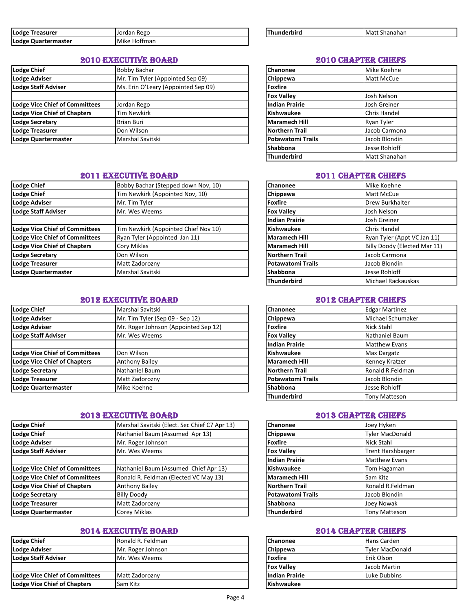| Lodge<br><b>Treasurer</b> | Jordan<br>⊦Rego       | Thunderbird | -Matı<br>: Shanahan |
|---------------------------|-----------------------|-------------|---------------------|
| Lodge<br>: Quartermaster  | ---<br>l Mike Hoffman |             |                     |

# 2010 EXECUTIVE BOARD 2010 CHAPTER CHIEFS

| <b>Lodge Chief</b>                    | <b>Bobby Bachar</b>                 | Chanonee              | Mike Koehne         |
|---------------------------------------|-------------------------------------|-----------------------|---------------------|
| Lodge Adviser                         | Mr. Tim Tyler (Appointed Sep 09)    | Chippewa              | <b>Matt McCue</b>   |
| <b>Lodge Staff Adviser</b>            | Ms. Erin O'Leary (Appointed Sep 09) | <b>Foxfire</b>        |                     |
|                                       |                                     | <b>Fox Vallev</b>     | Josh Nelson         |
| <b>Lodge Vice Chief of Committees</b> | Jordan Rego                         | <b>Indian Prairie</b> | Josh Greiner        |
| <b>Lodge Vice Chief of Chapters</b>   | <b>Tim Newkirk</b>                  | <b>Kishwaukee</b>     | <b>Chris Handel</b> |
| <b>Lodge Secretary</b>                | <b>Brian Buri</b>                   | <b>Maramech Hill</b>  | Ryan Tyler          |
| <b>Lodge Treasurer</b>                | Don Wilson                          | <b>Northern Trail</b> | Jacob Carmona       |
| Lodge Quartermaster                   | Marshal Savitski                    | Potawatomi Trails     | Jacob Blondin       |

### **2011 EXECUTIVE BOARD 2011 CHAPTER CHIEFS**

| <b>Lodge Chief</b>                    | Bobby Bachar (Stepped down Nov, 10)  | Chanonee                 | Mike Koehne                  |
|---------------------------------------|--------------------------------------|--------------------------|------------------------------|
| <b>Lodge Chief</b>                    | Tim Newkirk (Appointed Nov, 10)      | Chippewa                 | Matt McCue                   |
| <b>Lodge Adviser</b>                  | Mr. Tim Tyler                        | <b>Foxfire</b>           | <b>Drew Burkhalter</b>       |
| <b>Lodge Staff Adviser</b>            | Mr. Wes Weems                        | <b>Fox Valley</b>        | Josh Nelson                  |
|                                       |                                      | <b>Indian Prairie</b>    | Josh Greiner                 |
| <b>Lodge Vice Chief of Committees</b> | Tim Newkirk (Appointed Chief Nov 10) | <b>Kishwaukee</b>        | Chris Handel                 |
| <b>Lodge Vice Chief of Committees</b> | Ryan Tyler (Appointed Jan 11)        | <b>Maramech Hill</b>     | Ryan Tyler (Appt VC Jan 11)  |
| <b>Lodge Vice Chief of Chapters</b>   | Cory Miklas                          | Maramech Hill            | Billy Doody (Elected Mar 11) |
| <b>Lodge Secretary</b>                | Don Wilson                           | <b>Northern Trail</b>    | Jacob Carmona                |
| <b>Lodge Treasurer</b>                | Matt Zadorozny                       | <b>Potawatomi Trails</b> | Jacob Blondin                |
| Lodge Quartermaster                   | Marshal Savitski                     | <b>Shabbona</b>          | Jesse Rohloff                |
|                                       |                                      |                          |                              |

## 2012 EXECUTIVE BOARD 2012 CHAPTER CHIEFS

| <b>Lodge Chief</b>                    | Marshal Savitski                     | <b>Chanonee</b>       |                          | <b>Edgar Martinez</b> |
|---------------------------------------|--------------------------------------|-----------------------|--------------------------|-----------------------|
| Lodge Adviser                         | Mr. Tim Tyler (Sep 09 - Sep 12)      | Chippewa              |                          | Michael Schumaker     |
| <b>Lodge Adviser</b>                  | Mr. Roger Johnson (Appointed Sep 12) | Foxfire               |                          | Nick Stahl            |
| Lodge Staff Adviser                   | Mr. Wes Weems                        | <b>Fox Valley</b>     |                          | Nathaniel Baum        |
|                                       |                                      | <b>Indian Prairie</b> |                          | <b>Matthew Evans</b>  |
| <b>Lodge Vice Chief of Committees</b> | Don Wilson                           | <b>Kishwaukee</b>     |                          | <b>Max Dargatz</b>    |
| Lodge Vice Chief of Chapters          | <b>Anthony Bailey</b>                | Maramech Hill         |                          | Kenney Kratzer        |
| <b>Lodge Secretary</b>                | Nathaniel Baum                       | <b>Northern Trail</b> |                          | Ronald R.Feldman      |
| Lodge Treasurer                       | Matt Zadorozny                       |                       | <b>Potawatomi Trails</b> | Jacob Blondin         |
| Lodge Quartermaster                   | Mike Koehne                          | <b>Shabbona</b>       |                          | Jesse Rohloff         |

### 2013 EXECUTIVE BOARD 2013 CHAPTER CHIEFS

| <b>Lodge Chief</b>                    | Marshal Savitski (Elect. Sec Chief C7 Apr 13) | <b>Chanonee</b>          | Joey Hyken               |
|---------------------------------------|-----------------------------------------------|--------------------------|--------------------------|
| Lodge Chief                           | Nathaniel Baum (Assumed Apr 13)               | Chippewa                 | <b>Tyler MacDonald</b>   |
| Lodge Adviser                         | Mr. Roger Johnson                             | Foxfire                  | Nick Stahl               |
| <b>Lodge Staff Adviser</b>            | Mr. Wes Weems                                 | <b>Fox Valley</b>        | <b>Trent Harshbarger</b> |
|                                       |                                               | <b>Indian Prairie</b>    | <b>Matthew Evans</b>     |
| <b>Lodge Vice Chief of Committees</b> | Nathaniel Baum (Assumed Chief Apr 13)         | Kishwaukee               | Tom Hagaman              |
| <b>Lodge Vice Chief of Committees</b> | Ronald R. Feldman (Elected VC May 13)         | <b>Maramech Hill</b>     | Sam Kitz                 |
| <b>Lodge Vice Chief of Chapters</b>   | <b>Anthony Bailey</b>                         | Northern Trail           | Ronald R.Feldman         |
| Lodge Secretary                       | <b>Billy Doody</b>                            | <b>Potawatomi Trails</b> | Jacob Blondin            |
| Lodge Treasurer                       | Matt Zadorozny                                | <b>Shabbona</b>          | Joey Nowak               |
| Lodge Quartermaster                   | Corey Miklas                                  | <b>Thunderbird</b>       | <b>Tony Matteson</b>     |

# 2014 EXECUTIVE BOARD 2014 CHAPTER CHIEFS

| Lodge Chief                    | Ronald R. Feldman | <b>Chanonee</b>   | Hans Carden     |
|--------------------------------|-------------------|-------------------|-----------------|
| Lodge Adviser                  | Mr. Roger Johnson | <b>Chippewa</b>   | Tyler MacDonald |
| Lodge Staff Adviser            | IMr. Wes Weems    | Foxfire           | Erik Olson      |
|                                |                   | <b>Fox Valley</b> | Jacob Martin    |
| Lodge Vice Chief of Committees | Matt Zadorozny    | Indian Prairie    | Luke Dubbins    |
| Lodge Vice Chief of Chapters   | Sam Kitz          | Kishwaukee        |                 |

| <b>Thunderbird</b> |  |
|--------------------|--|
|--------------------|--|

| Chanonee                 | Mike Koehne   |
|--------------------------|---------------|
| Chippewa                 | Matt McCue    |
| <b>Foxfire</b>           |               |
| <b>Fox Valley</b>        | Josh Nelson   |
| <b>Indian Prairie</b>    | Josh Greiner  |
| <b>Kishwaukee</b>        | Chris Handel  |
| <b>Maramech Hill</b>     | Ryan Tyler    |
| <b>Northern Trail</b>    | Jacob Carmona |
| <b>Potawatomi Trails</b> | Jacob Blondin |
| Shabbona                 | Jesse Rohloff |
| <b>Thunderbird</b>       | Matt Shanahan |

| Chanonee                 | Mike Koehne                  |
|--------------------------|------------------------------|
| Chippewa                 | Matt McCue                   |
| <b>Foxfire</b>           | Drew Burkhalter              |
| <b>Fox Valley</b>        | Josh Nelson                  |
| <b>Indian Prairie</b>    | Josh Greiner                 |
| <b>Kishwaukee</b>        | Chris Handel                 |
| <b>Maramech Hill</b>     | Ryan Tyler (Appt VC Jan 11)  |
| <b>Maramech Hill</b>     | Billy Doody (Elected Mar 11) |
| <b>Northern Trail</b>    | Jacob Carmona                |
| <b>Potawatomi Trails</b> | Jacob Blondin                |
| <b>Shabbona</b>          | Jesse Rohloff                |
| <b>Thunderbird</b>       | Michael Rackauskas           |

| <b>Chanonee</b>          | <b>Edgar Martinez</b> |
|--------------------------|-----------------------|
| Chippewa                 | Michael Schumaker     |
| <b>Foxfire</b>           | Nick Stahl            |
| <b>Fox Valley</b>        | <b>Nathaniel Baum</b> |
| <b>Indian Prairie</b>    | <b>Matthew Evans</b>  |
| <b>Kishwaukee</b>        | Max Dargatz           |
| <b>Maramech Hill</b>     | Kenney Kratzer        |
| <b>Northern Trail</b>    | Ronald R.Feldman      |
| <b>Potawatomi Trails</b> | Jacob Blondin         |
| Shabbona                 | Jesse Rohloff         |
| <b>Thunderbird</b>       | <b>Tony Matteson</b>  |

| Chanonee                 | Joey Hyken               |
|--------------------------|--------------------------|
| Chippewa                 | <b>Tyler MacDonald</b>   |
| <b>Foxfire</b>           | <b>Nick Stahl</b>        |
| <b>Fox Valley</b>        | <b>Trent Harshbarger</b> |
| <b>Indian Prairie</b>    | <b>Matthew Evans</b>     |
| <b>Kishwaukee</b>        | Tom Hagaman              |
| <b>Maramech Hill</b>     | Sam Kitz                 |
| <b>Northern Trail</b>    | Ronald R.Feldman         |
| <b>Potawatomi Trails</b> | Jacob Blondin            |
| <b>Shabbona</b>          | Joey Nowak               |
| <b>Thunderbird</b>       | <b>Tony Matteson</b>     |

| Chanonee              | Hans Carden            |
|-----------------------|------------------------|
| Chippewa              | <b>Tyler MacDonald</b> |
| <b>Foxfire</b>        | Erik Olson             |
| <b>Fox Valley</b>     | Jacob Martin           |
| <b>Indian Prairie</b> | Luke Dubbins           |
| <b>Kishwaukee</b>     |                        |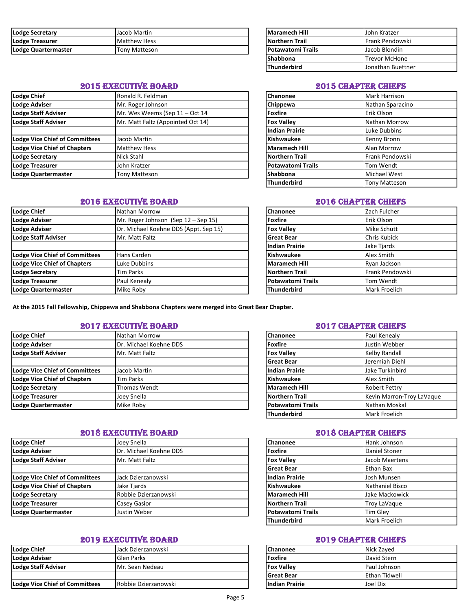| Lodge Secretary     | Jacob Martin        | <b>Maramech Hill</b>     | IJohn Kratzer   |
|---------------------|---------------------|--------------------------|-----------------|
| Lodge Treasurer     | <b>Matthew Hess</b> | <b>Northern Trail</b>    | Frank Pendowski |
| Lodge Quartermaster | Tonv Matteson       | <b>Potawatomi Trails</b> | lJacob Blondin  |

# 2015 EXECUTIVE BOARD 2015 CHAPTER CHIEFS

| Lodge Chief                           | Ronald R. Feldman                 | <b>Chanonee</b>          | <b>Mark Harrison</b>   |
|---------------------------------------|-----------------------------------|--------------------------|------------------------|
| <b>Lodge Adviser</b>                  | Mr. Roger Johnson                 | Chippewa                 | Nathan Sparacino       |
| <b>Lodge Staff Adviser</b>            | Mr. Wes Weems (Sep 11 - Oct 14    | Foxfire                  | Erik Olson             |
| <b>Lodge Staff Adviser</b>            | Mr. Matt Faltz (Appointed Oct 14) | <b>Fox Valley</b>        | Nathan Morrow          |
|                                       |                                   | <b>Indian Prairie</b>    | Luke Dubbins           |
| <b>Lodge Vice Chief of Committees</b> | Jacob Martin                      | <b>Kishwaukee</b>        | Kenny Bronn            |
| <b>Lodge Vice Chief of Chapters</b>   | <b>Matthew Hess</b>               | Maramech Hill            | Alan Morrow            |
| <b>Lodge Secretary</b>                | Nick Stahl                        | Northern Trail           | <b>Frank Pendowski</b> |
| <b>Lodge Treasurer</b>                | John Kratzer                      | <b>Potawatomi Trails</b> | Tom Wendt              |
| Lodge Quartermaster                   | <b>Tony Matteson</b>              | <b>Shabbona</b>          | <b>Michael West</b>    |
|                                       |                                   |                          |                        |

### 2016 EXECUTIVE BOARD 2016 CHAPTER CHIEFS

| Lodge Chief                           | Nathan Morrow                         | Chanonee                 | Zach Fulcher    |
|---------------------------------------|---------------------------------------|--------------------------|-----------------|
| Lodge Adviser                         | Mr. Roger Johnson (Sep 12 – Sep 15)   | Foxfire                  | Erik Olson      |
| <b>Lodge Adviser</b>                  | Dr. Michael Koehne DDS (Appt. Sep 15) | <b>Fox Valley</b>        | Mike Schutt     |
| <b>Lodge Staff Adviser</b>            | Mr. Matt Faltz                        | <b>Great Bear</b>        | Chris Kubick    |
|                                       |                                       | <b>Indian Prairie</b>    | Jake Tjards     |
| <b>Lodge Vice Chief of Committees</b> | Hans Carden                           | <b>Kishwaukee</b>        | Alex Smith      |
| <b>Lodge Vice Chief of Chapters</b>   | Luke Dubbins                          | Maramech Hill            | Ryan Jackson    |
| <b>Lodge Secretary</b>                | <b>Tim Parks</b>                      | Northern Trail           | Frank Pendowski |
| Lodge Treasurer                       | Paul Kenealy                          | <b>Potawatomi Trails</b> | Tom Wendt       |
| Lodge Quartermaster                   | Mike Roby                             | Thunderbird              | Mark Froelich   |

**At the 2015 Fall Fellowship, Chippewa and Shabbona Chapters were merged into Great Bear Chapter.**

### **2017 EXECUTIVE BOARD 2017 CHAPTER CHIEFS**

| Lodge Chief                    | Nathan Morrow          | <b>Chanonee</b>          | Paul Kenealy              |
|--------------------------------|------------------------|--------------------------|---------------------------|
| <b>Lodge Adviser</b>           | Dr. Michael Koehne DDS | <b>Foxfire</b>           | Justin Webber             |
| Lodge Staff Adviser            | Mr. Matt Faltz         | <b>Fox Valley</b>        | Kelby Randall             |
|                                |                        | <b>Great Bear</b>        | Jeremiah Diehl            |
| Lodge Vice Chief of Committees | Jacob Martin           | <b>Indian Prairie</b>    | Jake Turkinbird           |
| Lodge Vice Chief of Chapters   | Tim Parks              | Kishwaukee               | Alex Smith                |
| <b>Lodge Secretary</b>         | Thomas Wendt           | Maramech Hill            | <b>Robert Pettry</b>      |
| <b>Lodge Treasurer</b>         | Joey Snella            | <b>Northern Trail</b>    | Kevin Marron-Troy LaVaque |
| Lodge Quartermaster            | Mike Roby              | <b>Potawatomi Trails</b> | Nathan Moskal             |

## 2018 EXECUTIVE BOARD 2018 CHAPTER CHIEFS

| Lodge Chief                           | Joey Snella            | <b>Chanonee</b>          | Hank Johnson        |
|---------------------------------------|------------------------|--------------------------|---------------------|
| <b>Lodge Adviser</b>                  | Dr. Michael Koehne DDS | Foxfire                  | Daniel Stoner       |
| <b>Lodge Staff Adviser</b>            | Mr. Matt Faltz         | <b>Fox Valley</b>        | Jacob Maertens      |
|                                       |                        | <b>Great Bear</b>        | Ethan Bax           |
| <b>Lodge Vice Chief of Committees</b> | Jack Dzierzanowski     | <b>Indian Prairie</b>    | Josh Munsen         |
| <b>Lodge Vice Chief of Chapters</b>   | Jake Tjards            | <b>Kishwaukee</b>        | Nathaniel Bisco     |
| <b>Lodge Secretary</b>                | Robbie Dzierzanowski   | Maramech Hill            | Jake Mackowick      |
| Lodge Treasurer                       | <b>Casey Gasior</b>    | <b>Northern Trail</b>    | <b>Troy LaVague</b> |
| Lodge Quartermaster                   | Justin Weber           | <b>Potawatomi Trails</b> | <b>Tim Glev</b>     |

### 2019 EXECUTIVE BOARD 2019 CHAPTER CHIEFS

| Lodge Chief                    | Jack Dzierzanowski   | <b>Chanonee</b>   | Nick Zaved          |
|--------------------------------|----------------------|-------------------|---------------------|
| Lodge Adviser                  | Glen Parks           | Foxfire           | David Stern         |
| Lodge Staff Adviser            | IMr. Sean Nedeau     | <b>Fox Valley</b> | <b>Paul Johnson</b> |
|                                |                      | <b>Great Bear</b> | <b>Ethan Tidwel</b> |
| Lodge Vice Chief of Committees | Robbie Dzierzanowski | Indian Prairie    | Joel Dix            |

| Maramech Hill            | John Kratzer           |
|--------------------------|------------------------|
| Northern Trail           | <b>Frank Pendowski</b> |
| <b>Potawatomi Trails</b> | Jacob Blondin          |
| <b>Shabbona</b>          | Trevor McHone          |
| <b>Thunderbird</b>       | Jonathan Buettner      |

| Chanonee                 | Mark Harrison        |
|--------------------------|----------------------|
| Chippewa                 | Nathan Sparacino     |
| <b>Foxfire</b>           | Erik Olson           |
| <b>Fox Valley</b>        | Nathan Morrow        |
| <b>Indian Prairie</b>    | Luke Dubbins         |
| <b>Kishwaukee</b>        | Kenny Bronn          |
| <b>Maramech Hill</b>     | Alan Morrow          |
| <b>Northern Trail</b>    | Frank Pendowski      |
| <b>Potawatomi Trails</b> | Tom Wendt            |
| Shabbona                 | Michael West         |
| <b>Thunderbird</b>       | <b>Tony Matteson</b> |

| Chanonee                 | Zach Fulcher     |
|--------------------------|------------------|
| <b>Foxfire</b>           | Erik Olson       |
| <b>Fox Valley</b>        | Mike Schutt      |
| <b>Great Bear</b>        | Chris Kubick     |
| <b>Indian Prairie</b>    | Jake Tjards      |
| <b>Kishwaukee</b>        | Alex Smith       |
| <b>Maramech Hill</b>     | Ryan Jackson     |
| <b>Northern Trail</b>    | Frank Pendowski  |
| <b>Potawatomi Trails</b> | <b>Tom Wendt</b> |
| <b>Thunderbird</b>       | Mark Froelich    |

| Chanonee                 | Paul Kenealy              |
|--------------------------|---------------------------|
| <b>Foxfire</b>           | Justin Webber             |
| <b>Fox Valley</b>        | Kelby Randall             |
| <b>Great Bear</b>        | Jeremiah Diehl            |
| <b>Indian Prairie</b>    | Jake Turkinbird           |
| Kishwaukee               | Alex Smith                |
| <b>Maramech Hill</b>     | Robert Pettry             |
| <b>Northern Trail</b>    | Kevin Marron-Troy LaVaque |
| <b>Potawatomi Trails</b> | Nathan Moskal             |
| <b>Thunderbird</b>       | Mark Froelich             |

| Chanonee                 | Hank Johnson    |
|--------------------------|-----------------|
| <b>Foxfire</b>           | Daniel Stoner   |
| <b>Fox Valley</b>        | Jacob Maertens  |
| <b>Great Bear</b>        | Ethan Bax       |
| <b>Indian Prairie</b>    | Josh Munsen     |
| <b>Kishwaukee</b>        | Nathaniel Bisco |
| <b>Maramech Hill</b>     | Jake Mackowick  |
| <b>Northern Trail</b>    | Troy LaVaque    |
| <b>Potawatomi Trails</b> | Tim Glev        |
| <b>Thunderbird</b>       | Mark Froelich   |

| <b>Chanonee</b>       | Nick Zayed           |
|-----------------------|----------------------|
| <b>Foxfire</b>        | David Stern          |
| <b>Fox Valley</b>     | Paul Johnson         |
| <b>IGreat Bear</b>    | <b>Ethan Tidwell</b> |
| <b>Indian Prairie</b> | Joel Dix             |